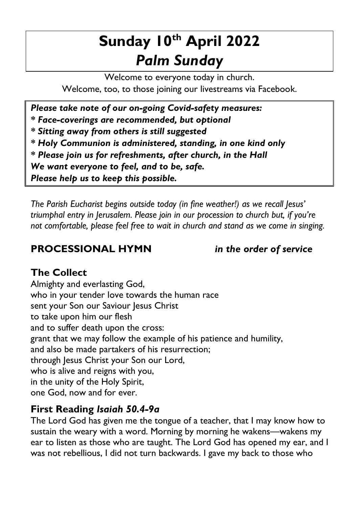# **Sunday 10th April 2022** *Palm Sunday*

Welcome to everyone today in church. Welcome, too, to those joining our livestreams via Facebook.

*Please take note of our on-going Covid-safety measures: \* Face-coverings are recommended, but optional \* Sitting away from others is still suggested \* Holy Communion is administered, standing, in one kind only \* Please join us for refreshments, after church, in the Hall We want everyone to feel, and to be, safe. Please help us to keep this possible.*

*The Parish Eucharist begins outside today (in fine weather!) as we recall Jesus' triumphal entry in Jerusalem. Please join in our procession to church but, if you're not comfortable, please feel free to wait in church and stand as we come in singing.*

## **PROCESSIONAL HYMN** *in the order of service*

# **The Collect**

Almighty and everlasting God, who in your tender love towards the human race sent your Son our Saviour Jesus Christ to take upon him our flesh and to suffer death upon the cross: grant that we may follow the example of his patience and humility, and also be made partakers of his resurrection; through Jesus Christ your Son our Lord, who is alive and reigns with you, in the unity of the Holy Spirit, one God, now and for ever.

# **First Reading** *Isaiah 50.4-9a*

The Lord God has given me the tongue of a teacher, that I may know how to sustain the weary with a word. Morning by morning he wakens—wakens my ear to listen as those who are taught. The Lord God has opened my ear, and I was not rebellious, I did not turn backwards. I gave my back to those who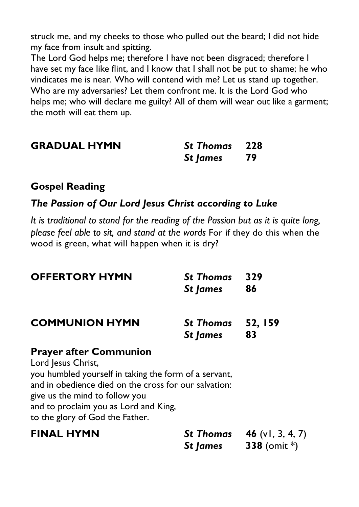struck me, and my cheeks to those who pulled out the beard; I did not hide my face from insult and spitting.

The Lord God helps me; therefore I have not been disgraced; therefore I have set my face like flint, and I know that I shall not be put to shame; he who vindicates me is near. Who will contend with me? Let us stand up together. Who are my adversaries? Let them confront me. It is the Lord God who helps me; who will declare me guilty? All of them will wear out like a garment; the moth will eat them up.

| <b>GRADUAL HYMN</b> | <b>St Thomas</b> 228 |  |
|---------------------|----------------------|--|
|                     | St James 79          |  |

#### **Gospel Reading**

#### *The Passion of Our Lord Jesus Christ according to Luke*

*It is traditional to stand for the reading of the Passion but as it is quite long, please feel able to sit, and stand at the words* For if they do this when the wood is green, what will happen when it is dry?

| <b>OFFERTORY HYMN</b>                                                                                                                                                                                                                                                               | <b>St Thomas</b><br>St James  | 329<br>86                                            |
|-------------------------------------------------------------------------------------------------------------------------------------------------------------------------------------------------------------------------------------------------------------------------------------|-------------------------------|------------------------------------------------------|
| <b>COMMUNION HYMN</b>                                                                                                                                                                                                                                                               | St Thomas 52, 159<br>St James | 83                                                   |
| <b>Prayer after Communion</b><br>Lord Jesus Christ,<br>you humbled yourself in taking the form of a servant,<br>and in obedience died on the cross for our salvation:<br>give us the mind to follow you<br>and to proclaim you as Lord and King,<br>to the glory of God the Father. |                               |                                                      |
| <b>FINAL HYMN</b>                                                                                                                                                                                                                                                                   | St James                      | <b>St Thomas 46</b> (v1, 3, 4, 7)<br>338 (omit $*$ ) |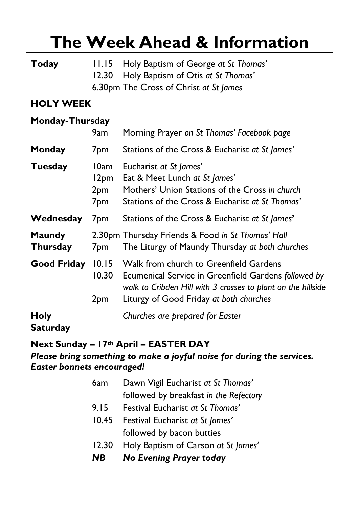# **The Week Ahead & Information**

**Today** 11.15 Holy Baptism of George *at St Thomas'* 12.30 Holy Baptism of Otis *at St Thomas'* 6.30pm The Cross of Christ *at St James*

### **HOLY WEEK**

#### **Monday-Thursday**

|                                  | 9am                                                            | Morning Prayer on St Thomas' Facebook page                                                                                                                                                                      |
|----------------------------------|----------------------------------------------------------------|-----------------------------------------------------------------------------------------------------------------------------------------------------------------------------------------------------------------|
| Monday                           | 7pm                                                            | Stations of the Cross & Eucharist at St James'                                                                                                                                                                  |
| Tuesday                          | 10am<br>12 <sub>pm</sub><br>2 <sub>pm</sub><br>7 <sub>pm</sub> | Eucharist at St James'<br>Eat & Meet Lunch at St James'<br>Mothers' Union Stations of the Cross in church<br>Stations of the Cross & Eucharist at St Thomas'                                                    |
| Wednesday                        | 7 <sub>pm</sub>                                                | Stations of the Cross & Eucharist at St James'                                                                                                                                                                  |
| <b>Maundy</b><br><b>Thursday</b> | 7 <sub>pm</sub>                                                | 2.30pm Thursday Friends & Food in St Thomas' Hall<br>The Liturgy of Maundy Thursday at both churches                                                                                                            |
| Good Friday                      | 10.30<br>2 <sub>pm</sub>                                       | 10.15 Walk from church to Greenfield Gardens<br>Ecumenical Service in Greenfield Gardens followed by<br>walk to Cribden Hill with 3 crosses to plant on the hillside<br>Liturgy of Good Friday at both churches |
| <b>Holy</b><br><b>Saturday</b>   |                                                                | Churches are prepared for Easter                                                                                                                                                                                |

#### **Next Sunday – 17th April – EASTER DAY** *Please bring something to make a joyful noise for during the services. Easter bonnets encouraged!*

| NB .  | No Evening Prayer today                |
|-------|----------------------------------------|
| 12.30 | Holy Baptism of Carson at St James'    |
|       | followed by bacon butties              |
| 10.45 | Festival Eucharist at St James'        |
| 9.15  | Festival Eucharist at St Thomas'       |
|       | followed by breakfast in the Refectory |
| 6am   | Dawn Vigil Eucharist at St Thomas'     |